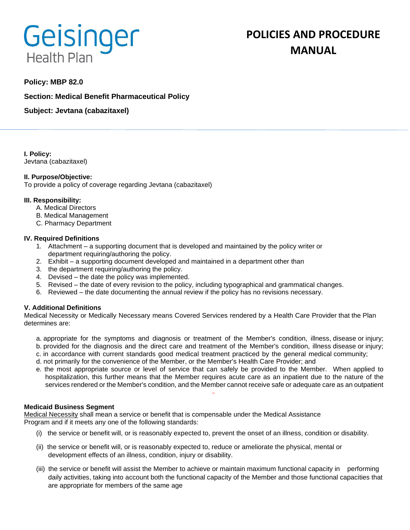# **Geisinger Health Plan**

# **POLICIES AND PROCEDURE MANUAL**

# **Policy: MBP 82.0**

**Section: Medical Benefit Pharmaceutical Policy**

**Subject: Jevtana (cabazitaxel)**

**I. Policy:** Jevtana (cabazitaxel)

# **II. Purpose/Objective:**

To provide a policy of coverage regarding Jevtana (cabazitaxel)

### **III. Responsibility:**

- A. Medical Directors
- B. Medical Management
- C. Pharmacy Department

### **IV. Required Definitions**

- 1. Attachment a supporting document that is developed and maintained by the policy writer or department requiring/authoring the policy.
- 2. Exhibit a supporting document developed and maintained in a department other than
- 3. the department requiring/authoring the policy.
- 4. Devised the date the policy was implemented.
- 5. Revised the date of every revision to the policy, including typographical and grammatical changes.
- 6. Reviewed the date documenting the annual review if the policy has no revisions necessary.

# **V. Additional Definitions**

Medical Necessity or Medically Necessary means Covered Services rendered by a Health Care Provider that the Plan determines are:

- a. appropriate for the symptoms and diagnosis or treatment of the Member's condition, illness, disease or injury; b. provided for the diagnosis and the direct care and treatment of the Member's condition, illness disease or injury;
- c. in accordance with current standards good medical treatment practiced by the general medical community;
- d. not primarily for the convenience of the Member, or the Member's Health Care Provider; and
- e. the most appropriate source or level of service that can safely be provided to the Member. When applied to hospitalization, this further means that the Member requires acute care as an inpatient due to the nature of the services rendered or the Member's condition, and the Member cannot receive safe or adequate care as an outpatient

#### **Medicaid Business Segment**

Medical Necessity shall mean a service or benefit that is compensable under the Medical Assistance Program and if it meets any one of the following standards:

- (i) the service or benefit will, or is reasonably expected to, prevent the onset of an illness, condition or disability.
- (ii) the service or benefit will, or is reasonably expected to, reduce or ameliorate the physical, mental or development effects of an illness, condition, injury or disability.
- (iii) the service or benefit will assist the Member to achieve or maintain maximum functional capacity in performing daily activities, taking into account both the functional capacity of the Member and those functional capacities that are appropriate for members of the same age